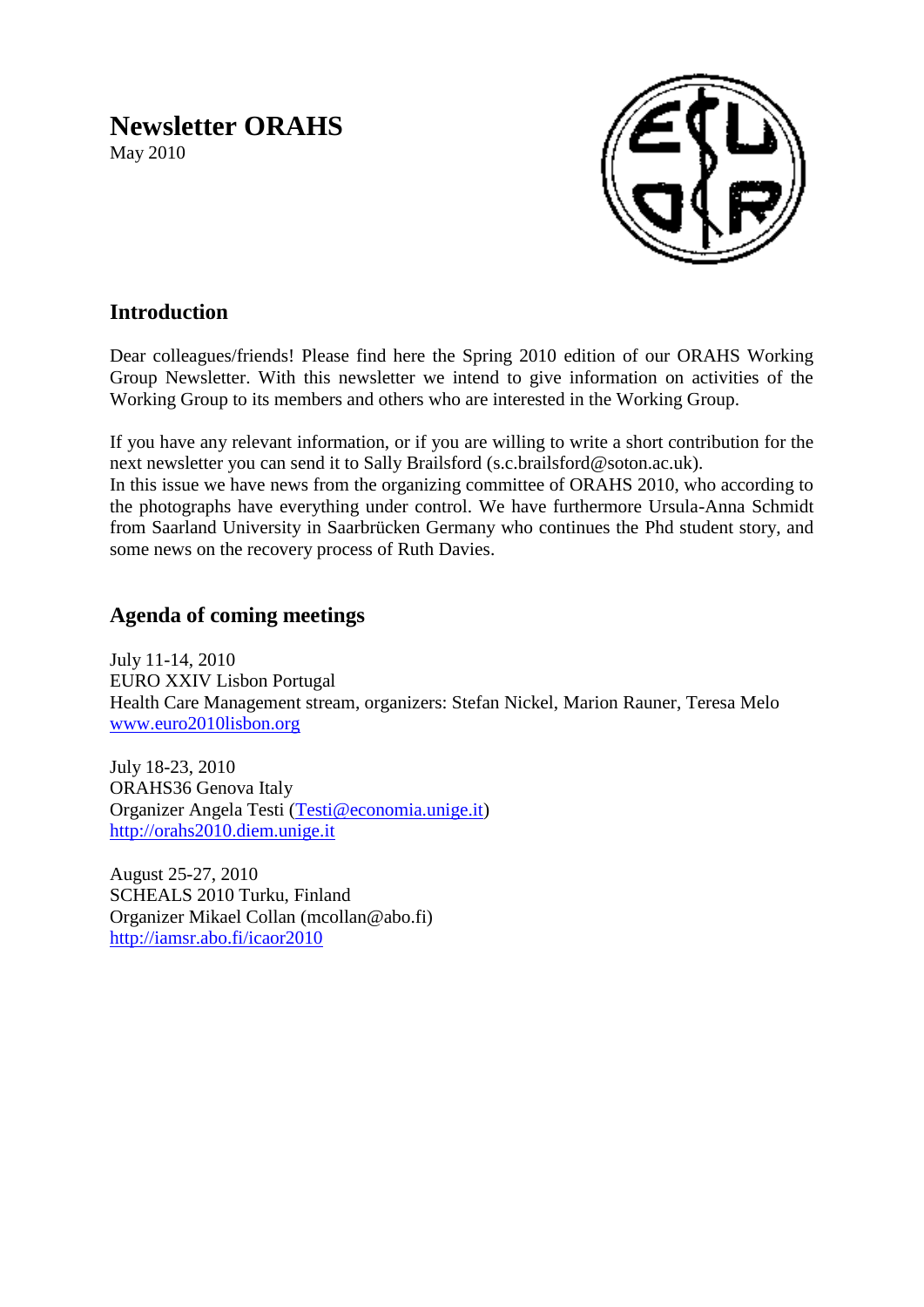# **Newsletter ORAHS**

May 2010



# **Introduction**

Dear colleagues/friends! Please find here the Spring 2010 edition of our ORAHS Working Group Newsletter. With this newsletter we intend to give information on activities of the Working Group to its members and others who are interested in the Working Group.

If you have any relevant information, or if you are willing to write a short contribution for the next newsletter you can send it to Sally Brailsford (s.c.brailsford@soton.ac.uk).

In this issue we have news from the organizing committee of ORAHS 2010, who according to the photographs have everything under control. We have furthermore Ursula-Anna Schmidt from Saarland University in Saarbrücken Germany who continues the Phd student story, and some news on the recovery process of Ruth Davies.

# **Agenda of coming meetings**

July 11-14, 2010 EURO XXIV Lisbon Portugal Health Care Management stream, organizers: Stefan Nickel, Marion Rauner, Teresa Melo [www.euro2010lisbon.org](http://www.euro2010lisbon.org/)

July 18-23, 2010 ORAHS36 Genova Italy Organizer Angela Testi [\(Testi@economia.unige.it\)](mailto:Testi@economia.unige.it) [http://orahs2010.diem.unige.it](http://orahs2010.diem.unige.it/)

August 25-27, 2010 SCHEALS 2010 Turku, Finland Organizer Mikael Collan (mcollan@abo.fi) <http://iamsr.abo.fi/icaor2010>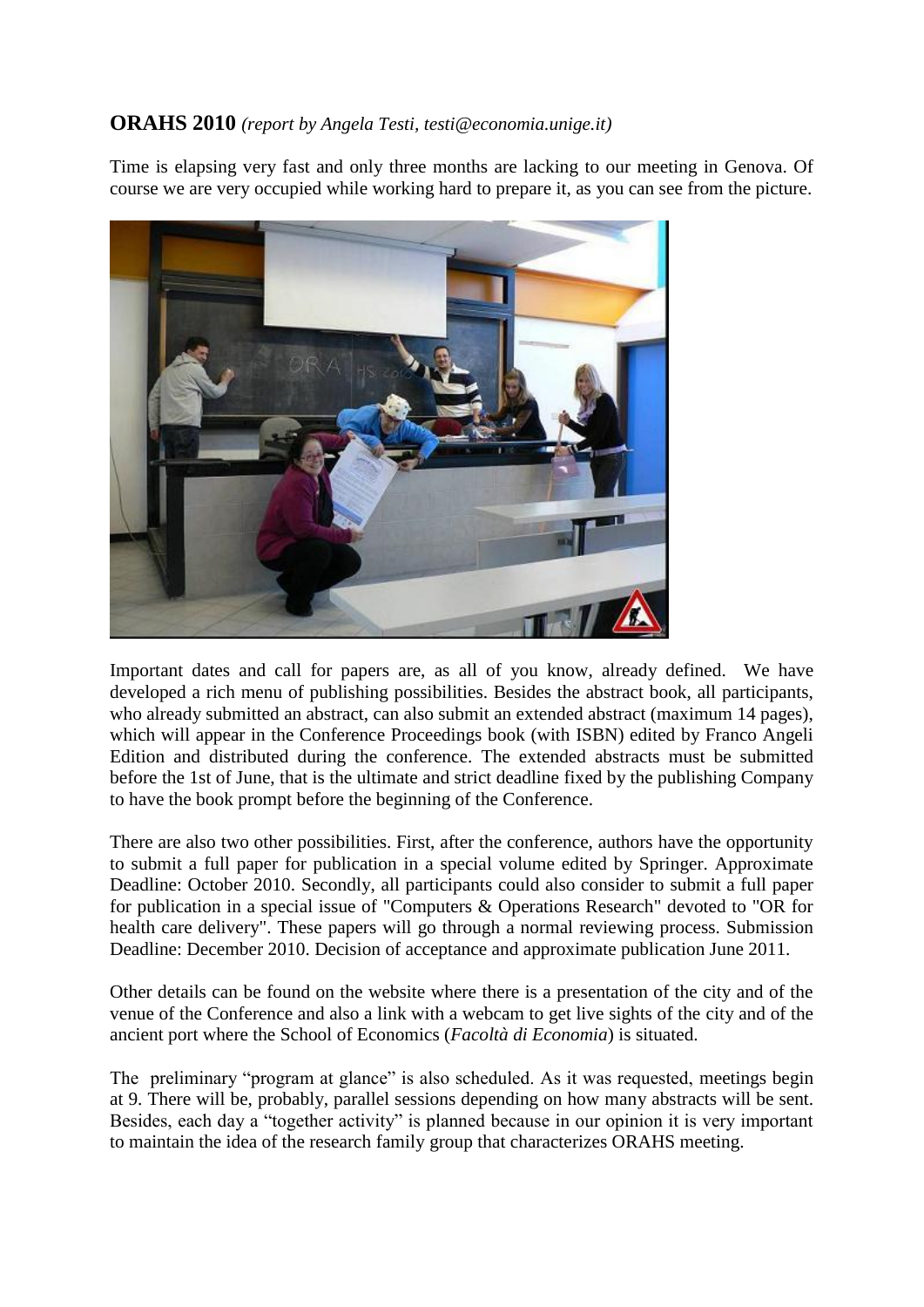#### **ORAHS 2010** *(report by Angela Testi, testi@economia.unige.it)*

Time is elapsing very fast and only three months are lacking to our meeting in Genova. Of course we are very occupied while working hard to prepare it, as you can see from the picture.



Important dates and call for papers are, as all of you know, already defined. We have developed a rich menu of publishing possibilities. Besides the abstract book, all participants, who already submitted an abstract, can also submit an extended abstract (maximum 14 pages), which will appear in the Conference Proceedings book (with ISBN) edited by Franco Angeli Edition and distributed during the conference. The extended abstracts must be submitted before the 1st of June, that is the ultimate and strict deadline fixed by the publishing Company to have the book prompt before the beginning of the Conference.

There are also two other possibilities. First, after the conference, authors have the opportunity to submit a full paper for publication in a special volume edited by Springer. Approximate Deadline: October 2010. Secondly, all participants could also consider to submit a full paper for publication in a special issue of "Computers & Operations Research" devoted to "OR for health care delivery". These papers will go through a normal reviewing process. Submission Deadline: December 2010. Decision of acceptance and approximate publication June 2011.

Other details can be found on the website where there is a presentation of the city and of the venue of the Conference and also a link with a webcam to get live sights of the city and of the ancient port where the School of Economics (*Facoltà di Economia*) is situated.

The preliminary "program at glance" is also scheduled. As it was requested, meetings begin at 9. There will be, probably, parallel sessions depending on how many abstracts will be sent. Besides, each day a "together activity" is planned because in our opinion it is very important to maintain the idea of the research family group that characterizes ORAHS meeting.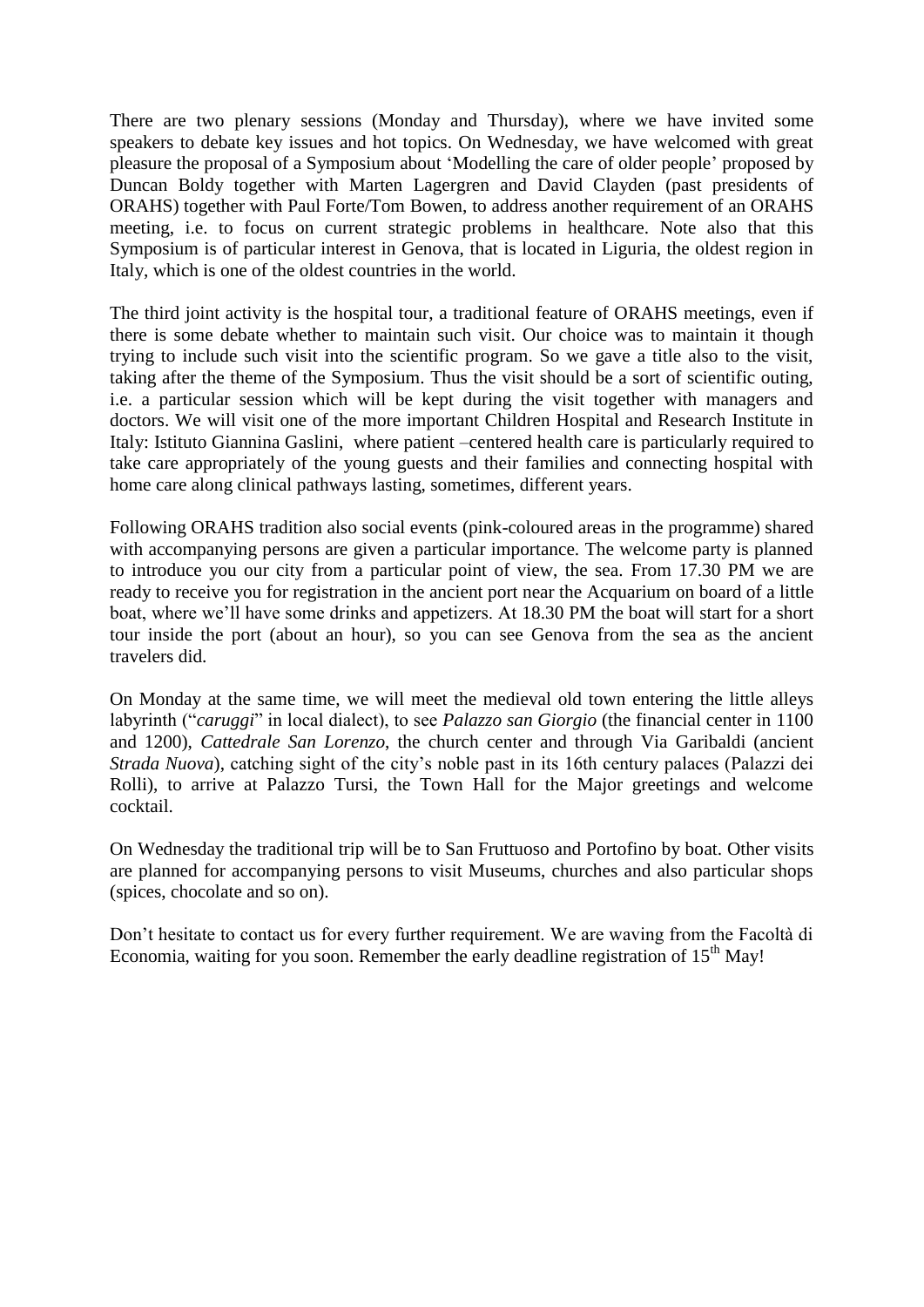There are two plenary sessions (Monday and Thursday), where we have invited some speakers to debate key issues and hot topics. On Wednesday, we have welcomed with great pleasure the proposal of a Symposium about "Modelling the care of older people" proposed by Duncan Boldy together with Marten Lagergren and David Clayden (past presidents of ORAHS) together with Paul Forte/Tom Bowen, to address another requirement of an ORAHS meeting, i.e. to focus on current strategic problems in healthcare. Note also that this Symposium is of particular interest in Genova, that is located in Liguria, the oldest region in Italy, which is one of the oldest countries in the world.

The third joint activity is the hospital tour, a traditional feature of ORAHS meetings, even if there is some debate whether to maintain such visit. Our choice was to maintain it though trying to include such visit into the scientific program. So we gave a title also to the visit, taking after the theme of the Symposium. Thus the visit should be a sort of scientific outing, i.e. a particular session which will be kept during the visit together with managers and doctors. We will visit one of the more important Children Hospital and Research Institute in Italy: Istituto Giannina Gaslini, where patient –centered health care is particularly required to take care appropriately of the young guests and their families and connecting hospital with home care along clinical pathways lasting, sometimes, different years.

Following ORAHS tradition also social events (pink-coloured areas in the programme) shared with accompanying persons are given a particular importance. The welcome party is planned to introduce you our city from a particular point of view, the sea. From 17.30 PM we are ready to receive you for registration in the ancient port near the Acquarium on board of a little boat, where we"ll have some drinks and appetizers. At 18.30 PM the boat will start for a short tour inside the port (about an hour), so you can see Genova from the sea as the ancient travelers did.

On Monday at the same time, we will meet the medieval old town entering the little alleys labyrinth ("*caruggi*" in local dialect), to see *Palazzo san Giorgio* (the financial center in 1100 and 1200), *Cattedrale San Lorenzo*, the church center and through Via Garibaldi (ancient *Strada Nuova*), catching sight of the city's noble past in its 16th century palaces (Palazzi dei Rolli), to arrive at Palazzo Tursi, the Town Hall for the Major greetings and welcome cocktail.

On Wednesday the traditional trip will be to San Fruttuoso and Portofino by boat. Other visits are planned for accompanying persons to visit Museums, churches and also particular shops (spices, chocolate and so on).

Don"t hesitate to contact us for every further requirement. We are waving from the Facoltà di Economia, waiting for you soon. Remember the early deadline registration of  $15<sup>th</sup>$  May!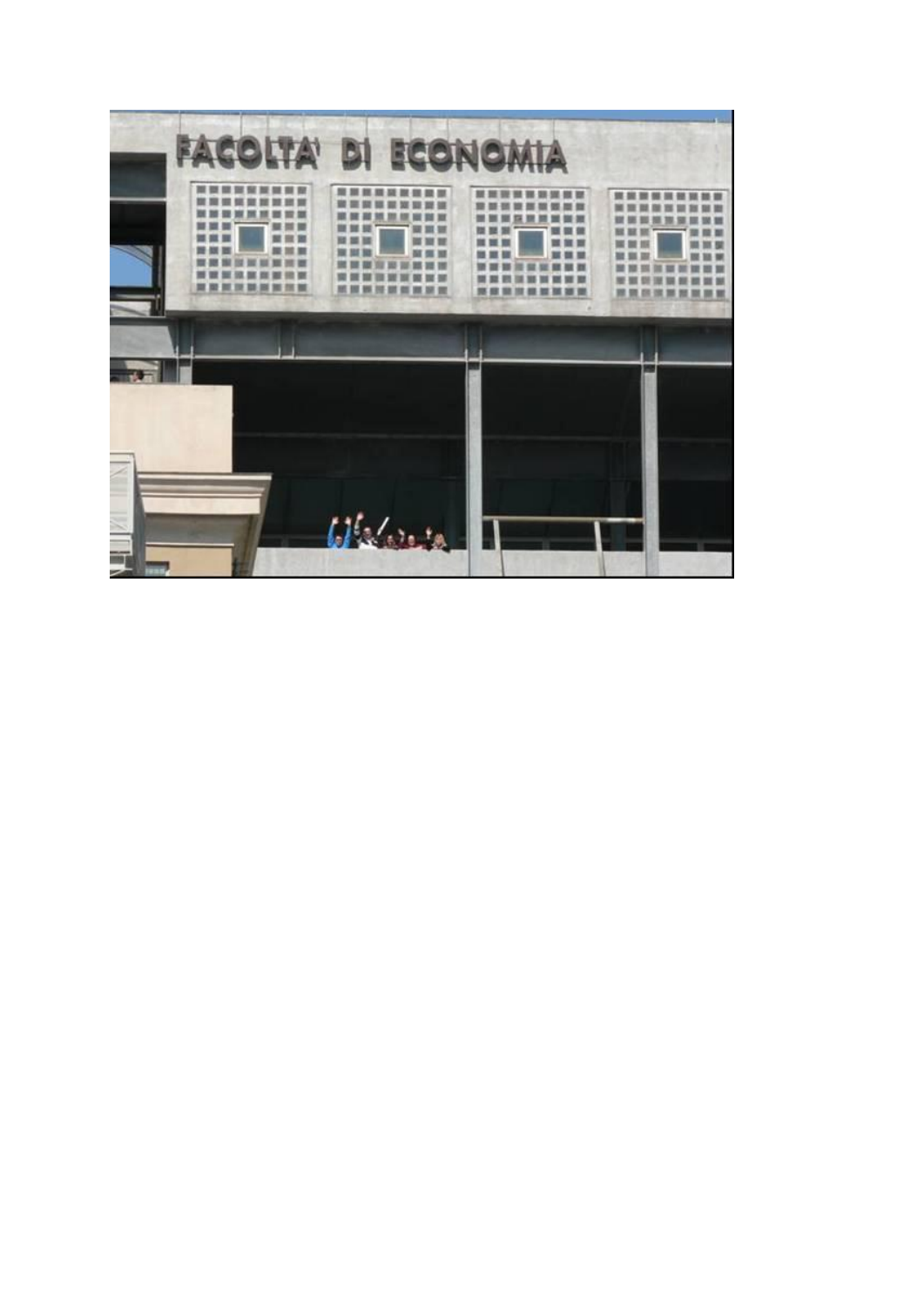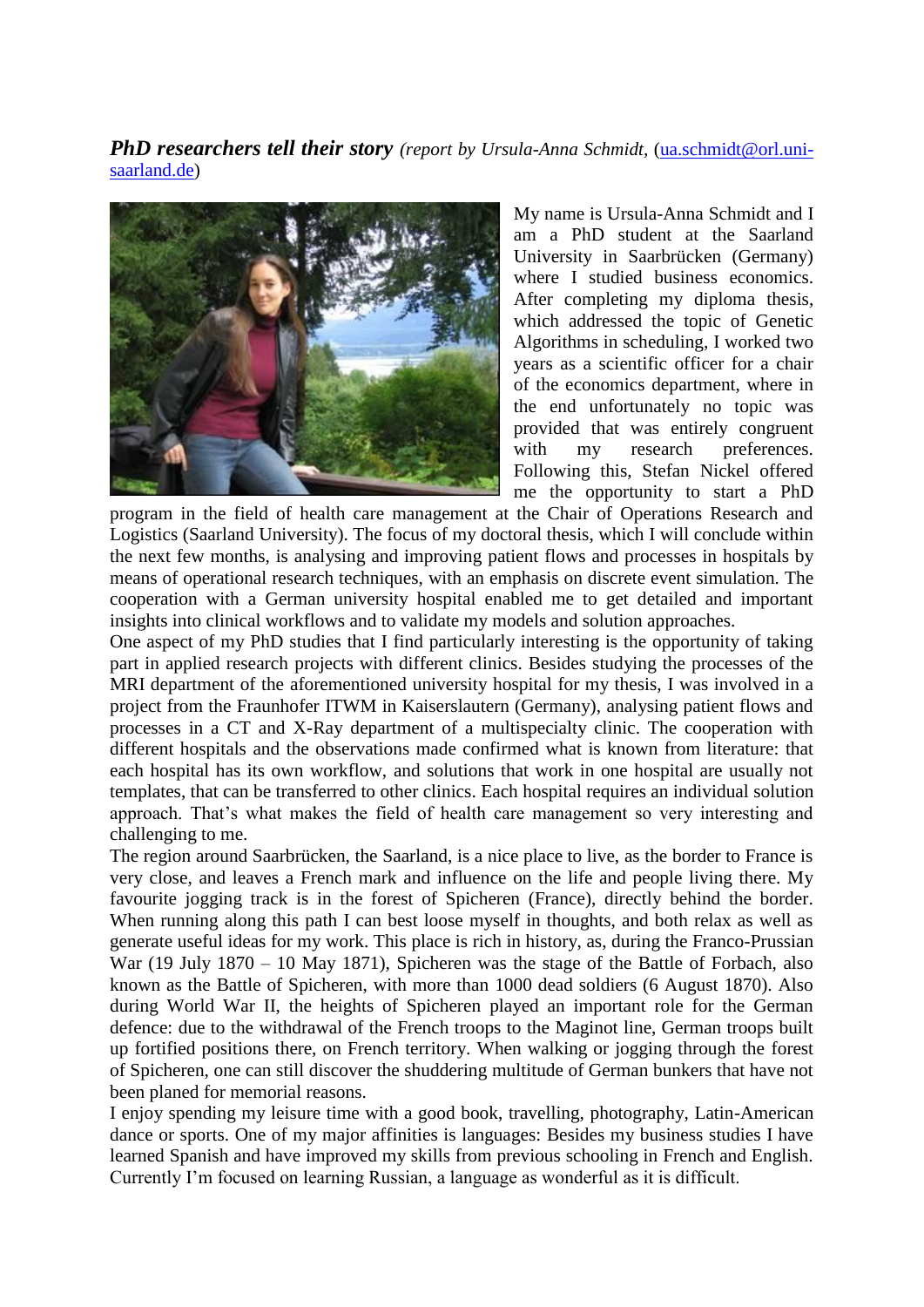#### *PhD researchers tell their story (report by Ursula-Anna Schmidt,* [\(ua.schmidt@orl.uni](mailto:ua.schmidt@orl.uni-saarland.de)[saarland.de\)](mailto:ua.schmidt@orl.uni-saarland.de)



My name is Ursula-Anna Schmidt and I am a PhD student at the Saarland University in Saarbrücken (Germany) where I studied business economics. After completing my diploma thesis, which addressed the topic of Genetic Algorithms in scheduling, I worked two years as a scientific officer for a chair of the economics department, where in the end unfortunately no topic was provided that was entirely congruent with my research preferences. Following this, Stefan Nickel offered me the opportunity to start a PhD

program in the field of health care management at the Chair of Operations Research and Logistics (Saarland University). The focus of my doctoral thesis, which I will conclude within the next few months, is analysing and improving patient flows and processes in hospitals by means of operational research techniques, with an emphasis on discrete event simulation. The cooperation with a German university hospital enabled me to get detailed and important insights into clinical workflows and to validate my models and solution approaches.

One aspect of my PhD studies that I find particularly interesting is the opportunity of taking part in applied research projects with different clinics. Besides studying the processes of the MRI department of the aforementioned university hospital for my thesis, I was involved in a project from the Fraunhofer ITWM in Kaiserslautern (Germany), analysing patient flows and processes in a CT and X-Ray department of a multispecialty clinic. The cooperation with different hospitals and the observations made confirmed what is known from literature: that each hospital has its own workflow, and solutions that work in one hospital are usually not templates, that can be transferred to other clinics. Each hospital requires an individual solution approach. That"s what makes the field of health care management so very interesting and challenging to me.

The region around Saarbrücken, the Saarland, is a nice place to live, as the border to France is very close, and leaves a French mark and influence on the life and people living there. My favourite jogging track is in the forest of Spicheren (France), directly behind the border. When running along this path I can best loose myself in thoughts, and both relax as well as generate useful ideas for my work. This place is rich in history, as, during the Franco-Prussian War (19 July 1870 – 10 May 1871), Spicheren was the stage of the Battle of Forbach, also known as the Battle of Spicheren, with more than 1000 dead soldiers (6 August 1870). Also during World War II, the heights of Spicheren played an important role for the German defence: due to the withdrawal of the French troops to the Maginot line, German troops built up fortified positions there, on French territory. When walking or jogging through the forest of Spicheren, one can still discover the shuddering multitude of German bunkers that have not been planed for memorial reasons.

I enjoy spending my leisure time with a good book, travelling, photography, Latin-American dance or sports. One of my major affinities is languages: Besides my business studies I have learned Spanish and have improved my skills from previous schooling in French and English. Currently I"m focused on learning Russian, a language as wonderful as it is difficult.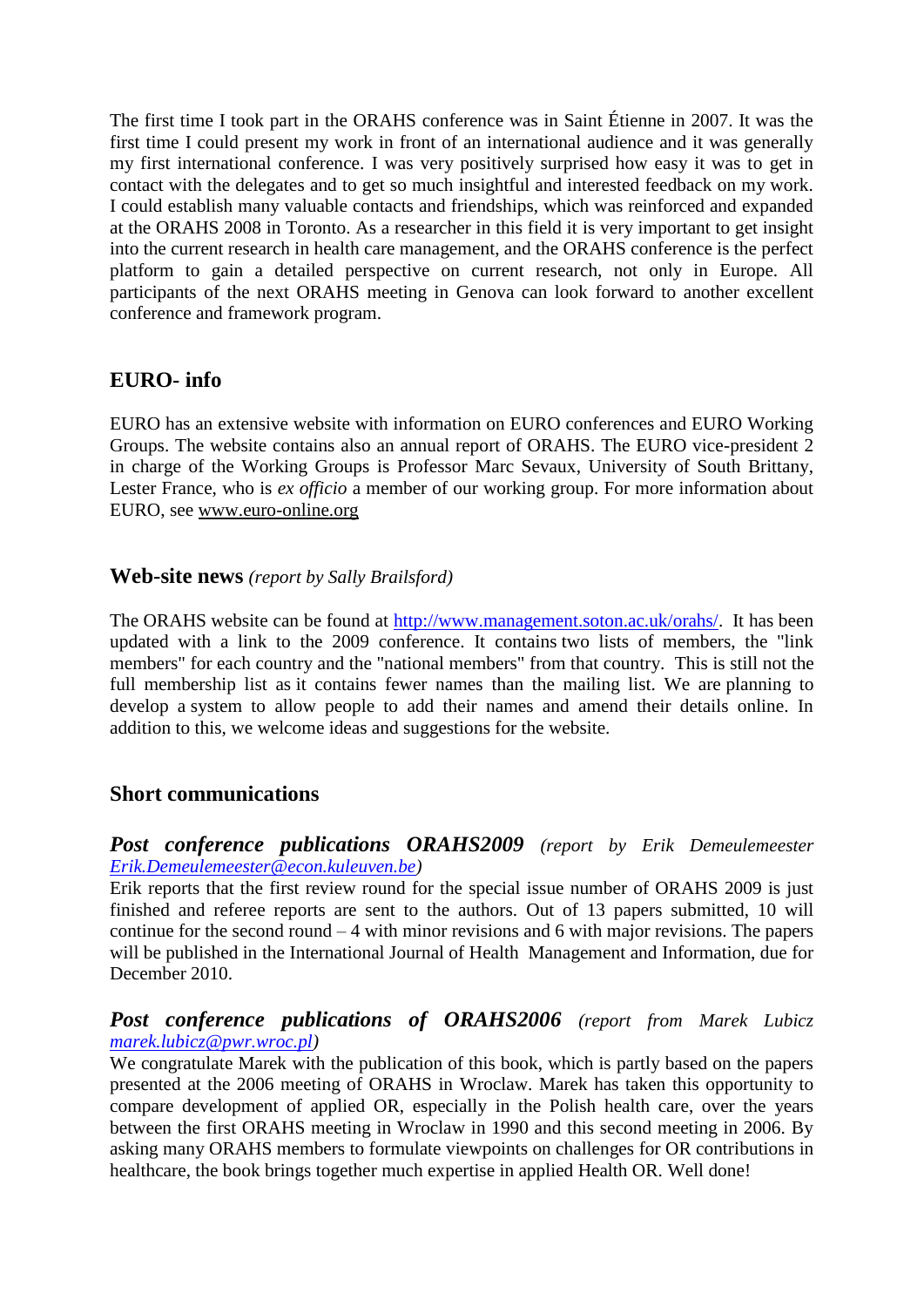The first time I took part in the ORAHS conference was in Saint Étienne in 2007. It was the first time I could present my work in front of an international audience and it was generally my first international conference. I was very positively surprised how easy it was to get in contact with the delegates and to get so much insightful and interested feedback on my work. I could establish many valuable contacts and friendships, which was reinforced and expanded at the ORAHS 2008 in Toronto. As a researcher in this field it is very important to get insight into the current research in health care management, and the ORAHS conference is the perfect platform to gain a detailed perspective on current research, not only in Europe. All participants of the next ORAHS meeting in Genova can look forward to another excellent conference and framework program.

# **EURO- info**

EURO has an extensive website with information on EURO conferences and EURO Working Groups. The website contains also an annual report of ORAHS. The EURO vice-president 2 in charge of the Working Groups is Professor Marc Sevaux, University of South Brittany, Lester France, who is *ex officio* a member of our working group. For more information about EURO, see [www.euro-online.org](http://www.euro-online.org/) 

#### **Web-site news** *(report by Sally Brailsford)*

The ORAHS website can be found at [http://www.management.soton.ac.uk/orahs/.](http://www.management.soton.ac.uk/orahs/) It has been updated with a link to the 2009 conference. It contains two lists of members, the "link members" for each country and the "national members" from that country. This is still not the full membership list as it contains fewer names than the mailing list. We are planning to develop a system to allow people to add their names and amend their details online. In addition to this, we welcome ideas and suggestions for the website.

#### **Short communications**

#### *Post conference publications ORAHS2009 (report by Erik Demeulemeester [Erik.Demeulemeester@econ.kuleuven.be\)](mailto:Erik.Demeulemeester@econ.kuleuven.be)*

Erik reports that the first review round for the special issue number of ORAHS 2009 is just finished and referee reports are sent to the authors. Out of 13 papers submitted, 10 will continue for the second round  $-4$  with minor revisions and 6 with major revisions. The papers will be published in the International Journal of Health Management and Information, due for December 2010.

#### *Post conference publications of ORAHS2006 (report from Marek Lubicz [marek.lubicz@pwr.wroc.pl\)](mailto:marek.lubicz@pwr.wroc.pl)*

We congratulate Marek with the publication of this book, which is partly based on the papers presented at the 2006 meeting of ORAHS in Wroclaw. Marek has taken this opportunity to compare development of applied OR, especially in the Polish health care, over the years between the first ORAHS meeting in Wroclaw in 1990 and this second meeting in 2006. By asking many ORAHS members to formulate viewpoints on challenges for OR contributions in healthcare, the book brings together much expertise in applied Health OR. Well done!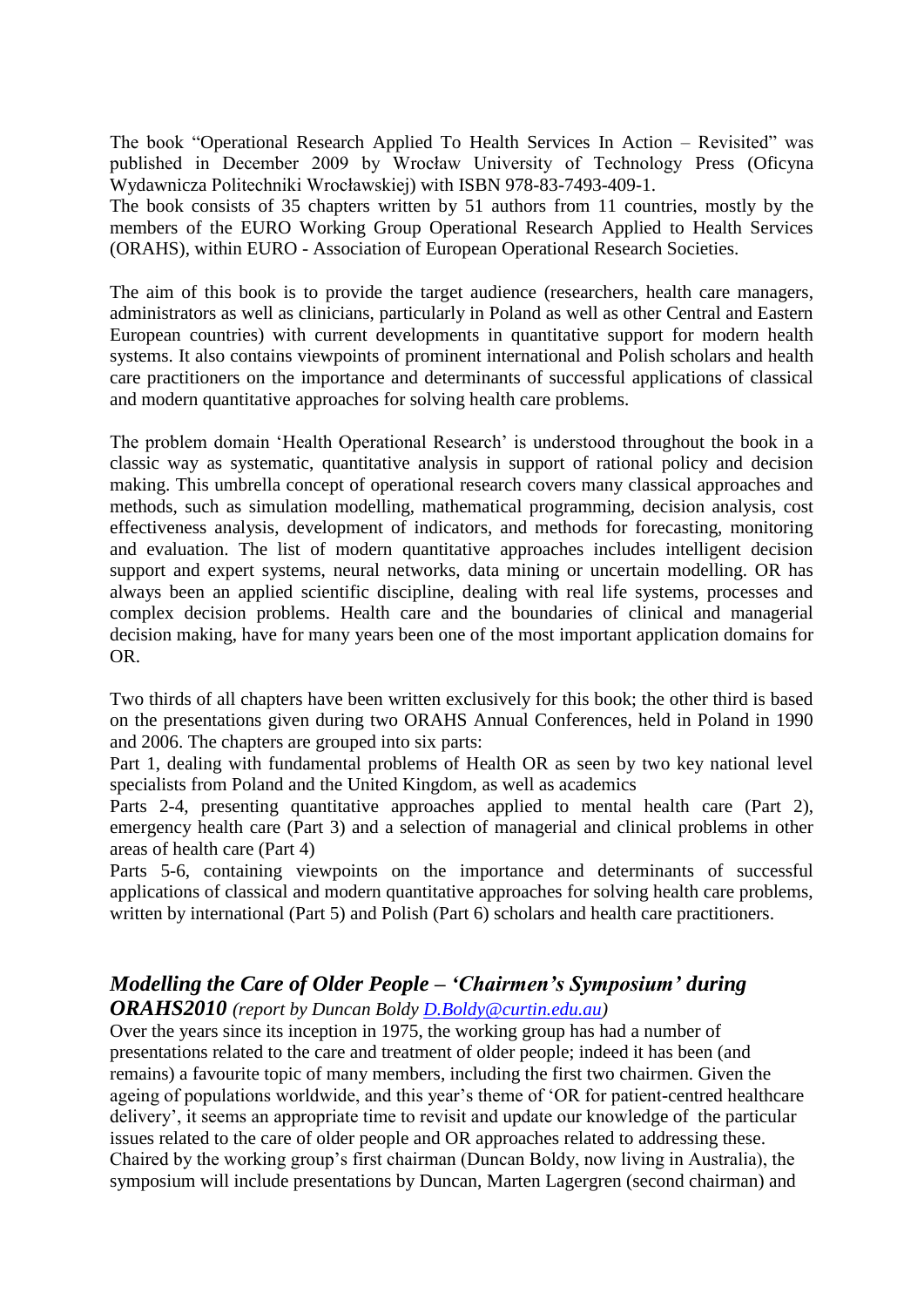The book "Operational Research Applied To Health Services In Action – Revisited" was published in December 2009 by Wrocław University of Technology Press (Oficyna Wydawnicza Politechniki Wrocławskiej) with ISBN 978-83-7493-409-1.

The book consists of 35 chapters written by 51 authors from 11 countries, mostly by the members of the EURO Working Group Operational Research Applied to Health Services (ORAHS), within EURO - Association of European Operational Research Societies.

The aim of this book is to provide the target audience (researchers, health care managers, administrators as well as clinicians, particularly in Poland as well as other Central and Eastern European countries) with current developments in quantitative support for modern health systems. It also contains viewpoints of prominent international and Polish scholars and health care practitioners on the importance and determinants of successful applications of classical and modern quantitative approaches for solving health care problems.

The problem domain 'Health Operational Research' is understood throughout the book in a classic way as systematic, quantitative analysis in support of rational policy and decision making. This umbrella concept of operational research covers many classical approaches and methods, such as simulation modelling, mathematical programming, decision analysis, cost effectiveness analysis, development of indicators, and methods for forecasting, monitoring and evaluation. The list of modern quantitative approaches includes intelligent decision support and expert systems, neural networks, data mining or uncertain modelling. OR has always been an applied scientific discipline, dealing with real life systems, processes and complex decision problems. Health care and the boundaries of clinical and managerial decision making, have for many years been one of the most important application domains for OR.

Two thirds of all chapters have been written exclusively for this book; the other third is based on the presentations given during two ORAHS Annual Conferences, held in Poland in 1990 and 2006. The chapters are grouped into six parts:

Part 1, dealing with fundamental problems of Health OR as seen by two key national level specialists from Poland and the United Kingdom, as well as academics

Parts 2-4, presenting quantitative approaches applied to mental health care (Part 2), emergency health care (Part 3) and a selection of managerial and clinical problems in other areas of health care (Part 4)

Parts 5-6, containing viewpoints on the importance and determinants of successful applications of classical and modern quantitative approaches for solving health care problems, written by international (Part 5) and Polish (Part 6) scholars and health care practitioners.

# *Modelling the Care of Older People – 'Chairmen's Symposium' during*

# *ORAHS2010 (report by Duncan Boldy [D.Boldy@curtin.edu.au\)](mailto:D.Boldy@curtin.edu.au)*

Over the years since its inception in 1975, the working group has had a number of presentations related to the care and treatment of older people; indeed it has been (and remains) a favourite topic of many members, including the first two chairmen. Given the ageing of populations worldwide, and this year's theme of 'OR for patient-centred healthcare delivery", it seems an appropriate time to revisit and update our knowledge of the particular issues related to the care of older people and OR approaches related to addressing these. Chaired by the working group"s first chairman (Duncan Boldy, now living in Australia), the symposium will include presentations by Duncan, Marten Lagergren (second chairman) and